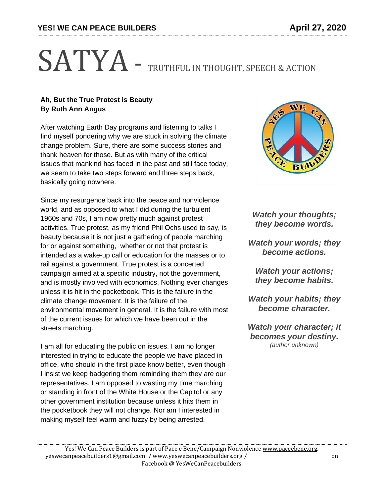## SATYA - TRUTHFUL IN THOUGHT, SPEECH & ACTION

## **Ah, But the True Protest is Beauty By Ruth Ann Angus**

After watching Earth Day programs and listening to talks I find myself pondering why we are stuck in solving the climate change problem. Sure, there are some success stories and thank heaven for those. But as with many of the critical issues that mankind has faced in the past and still face today, we seem to take two steps forward and three steps back, basically going nowhere.

Since my resurgence back into the peace and nonviolence world, and as opposed to what I did during the turbulent 1960s and 70s, I am now pretty much against protest activities. True protest, as my friend Phil Ochs used to say, is beauty because it is not just a gathering of people marching for or against something, whether or not that protest is intended as a wake-up call or education for the masses or to rail against a government. True protest is a concerted campaign aimed at a specific industry, not the government, and is mostly involved with economics. Nothing ever changes unless it is hit in the pocketbook. This is the failure in the climate change movement. It is the failure of the environmental movement in general. It is the failure with most of the current issues for which we have been out in the streets marching.

I am all for educating the public on issues. I am no longer interested in trying to educate the people we have placed in office, who should in the first place know better, even though I insist we keep badgering them reminding them they are our representatives. I am opposed to wasting my time marching or standing in front of the White House or the Capitol or any other government institution because unless it hits them in the pocketbook they will not change. Nor am I interested in making myself feel warm and fuzzy by being arrested.



*Watch your thoughts; they become words.*

*Watch your words; they become actions.*

*Watch your actions; they become habits.*

*Watch your habits; they become character.*

*Watch your character; it becomes your destiny. (author unknown)*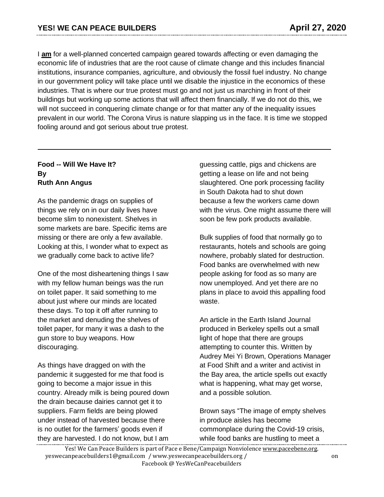I **am** for a well-planned concerted campaign geared towards affecting or even damaging the economic life of industries that are the root cause of climate change and this includes financial institutions, insurance companies, agriculture, and obviously the fossil fuel industry. No change in our government policy will take place until we disable the injustice in the economics of these industries. That is where our true protest must go and not just us marching in front of their buildings but working up some actions that will affect them financially. If we do not do this, we will not succeed in conquering climate change or for that matter any of the inequality issues prevalent in our world. The Corona Virus is nature slapping us in the face. It is time we stopped fooling around and got serious about true protest.

## **Food -- Will We Have It? By Ruth Ann Angus**

As the pandemic drags on supplies of things we rely on in our daily lives have become slim to nonexistent. Shelves in some markets are bare. Specific items are missing or there are only a few available. Looking at this, I wonder what to expect as we gradually come back to active life?

One of the most disheartening things I saw with my fellow human beings was the run on toilet paper. It said something to me about just where our minds are located these days. To top it off after running to the market and denuding the shelves of toilet paper, for many it was a dash to the gun store to buy weapons. How discouraging.

As things have dragged on with the pandemic it suggested for me that food is going to become a major issue in this country. Already milk is being poured down the drain because dairies cannot get it to suppliers. Farm fields are being plowed under instead of harvested because there is no outlet for the farmers' goods even if they are harvested. I do not know, but I am

guessing cattle, pigs and chickens are getting a lease on life and not being slaughtered. One pork processing facility in South Dakota had to shut down because a few the workers came down with the virus. One might assume there will soon be few pork products available.

Bulk supplies of food that normally go to restaurants, hotels and schools are going nowhere, probably slated for destruction. Food banks are overwhelmed with new people asking for food as so many are now unemployed. And yet there are no plans in place to avoid this appalling food waste.

An article in the Earth Island Journal produced in Berkeley spells out a small light of hope that there are groups attempting to counter this. Written by Audrey Mei Yi Brown, Operations Manager at Food Shift and a writer and activist in the Bay area, the article spells out exactly what is happening, what may get worse, and a possible solution.

Brown says "The image of empty shelves in produce aisles has become commonplace during the Covid-19 crisis, while food banks are [hustling](https://w/) to meet a

Yes! We Can Peace Builders is part of Pace e Bene/Campaign Nonviolence [www.paceebene.org.](http://www.paceebene.org/) yeswecanpeacebuilders1@gmail.com / www.yeswecanpeacebuilders.org / on Facebook @ YesWeCanPeacebuilders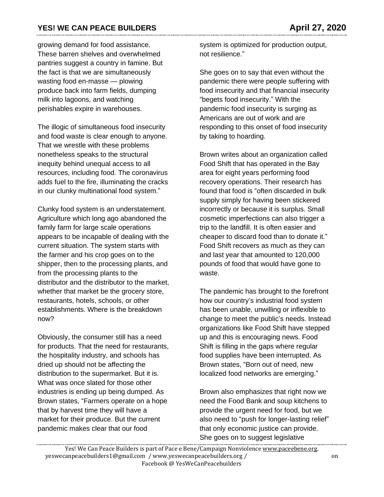growing demand for food assistance. These barren shelves and overwhelmed pantries suggest a country in famine. But the fact is that we are simultaneously wasting food en-masse — plowing produce back into farm fields, [dumping](https://www.nytimes.com/2020/04/11/business/coronavirus-destroying-food.html?referringSource=articleShare) milk into [lagoons,](https://www.nytimes.com/2020/04/11/business/coronavirus-destroying-food.html?referringSource=articleShare) and watching perishables expire in warehouses.

The illogic of simultaneous food insecurity and food waste is clear enough to anyone. That we wrestle with these problems nonetheless speaks to the structural inequity behind unequal access to all resources, including food. The coronavirus adds fuel to the fire, illuminating the cracks in our clunky multinational food system."

Clunky food system is an understatement. Agriculture which long ago abandoned the family farm for large scale operations appears to be incapable of dealing with the current situation. The system starts with the farmer and his crop goes on to the shipper, then to the processing plants, and from the processing plants to the distributor and the distributor to the market, whether that market be the grocery store, restaurants, hotels, schools, or other establishments. Where is the breakdown now?

Obviously, the consumer still has a need for products. That the need for restaurants, the hospitality industry, and schools has dried up should not be affecting the distribution to the supermarket. But it is. What was once slated for those other industries is ending up being dumped. As Brown states, "Farmers operate on a hope that by harvest time they will have a market for their produce. But the current pandemic makes clear that our food

system is optimized for production output, not resilience."

She goes on to say that even without the pandemic there were people suffering with food insecurity and that financial insecurity "begets food insecurity." With the pandemic food insecurity is surging as Americans are out of work and are responding to this onset of food insecurity by taking to hoarding.

Brown writes about an organization called Food Shift that has operated in the Bay area for eight years performing food recovery operations. Their research has found that food is "often discarded in bulk supply simply for having been stickered incorrectly or because it is surplus. Small cosmetic imperfections can also trigger a trip to the landfill. It is often easier and cheaper to discard food than to donate it." Food Shift recovers as much as they can and last year that amounted to 120,000 pounds of food that would have gone to waste.

The pandemic has brought to the forefront how our country's industrial food system has been unable, unwilling or inflexible to change to meet the public's needs. Instead organizations like Food Shift have stepped up and this is encouraging news. Food Shift is filling in the gaps where regular food supplies have been interrupted. As Brown states, "Born out of need, new localized food networks are emerging."

Brown also emphasizes that right now we need the Food Bank and soup kitchens to provide the urgent need for food, but we also need to "push for longer-lasting relief" that only economic justice can provide. She goes on to suggest legislative